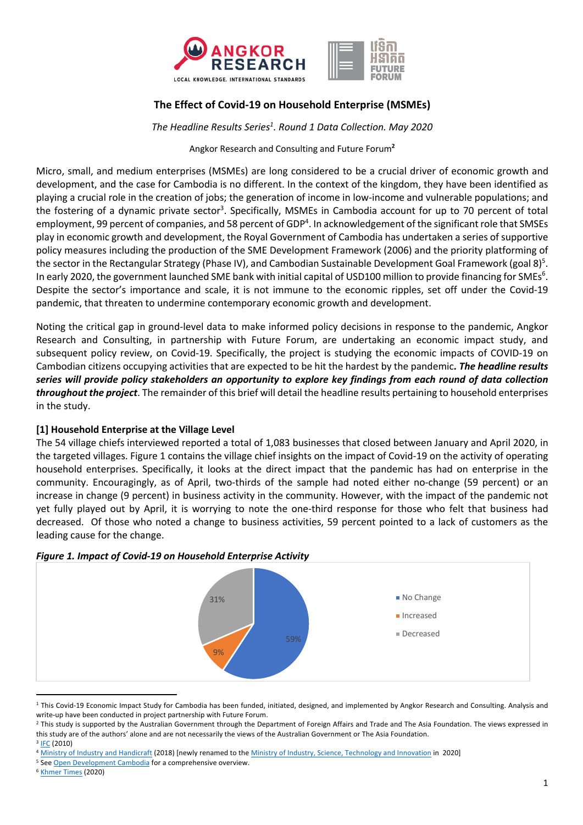

## **The Effect of Covid-19 on Household Enterprise (MSMEs)**

*The Headline Results Series1 . Round 1 Data Collection. May 2020*

Angkor Research and Consulting and Future Forum**<sup>2</sup>**

Micro, small, and medium enterprises (MSMEs) are long considered to be a crucial driver of economic growth and development, and the case for Cambodia is no different. In the context of the kingdom, they have been identified as playing a crucial role in the creation of jobs; the generation of income in low-income and vulnerable populations; and the fostering of a dynamic private sector<sup>3</sup>. Specifically, MSMEs in Cambodia account for up to 70 percent of total employment, 99 percent of companies, and 58 percent of GDP<sup>4</sup>. In acknowledgement of the significant role that SMSEs play in economic growth and development, the Royal Government of Cambodia has undertaken a series of supportive policy measures including the production of the SME Development Framework (2006) and the priority platforming of the sector in the Rectangular Strategy (Phase IV), and Cambodian Sustainable Development Goal Framework (goal 8)<sup>5</sup>. In early 2020, the government launched SME bank with initial capital of USD100 million to provide financing for SMEs<sup>6</sup>. Despite the sector's importance and scale, it is not immune to the economic ripples, set off under the Covid-19 pandemic, that threaten to undermine contemporary economic growth and development.

Noting the critical gap in ground-level data to make informed policy decisions in response to the pandemic, Angkor Research and Consulting, in partnership with Future Forum, are undertaking an economic impact study, and subsequent policy review, on Covid-19. Specifically, the project is studying the economic impacts of COVID-19 on Cambodian citizens occupying activities that are expected to be hit the hardest by the pandemic*. The headline results series will provide policy stakeholders an opportunity to explore key findings from each round of data collection throughout the project*. The remainder of this brief will detail the headline results pertaining to household enterprises in the study.

#### **[1] Household Enterprise at the Village Level**

The 54 village chiefs interviewed reported a total of 1,083 businesses that closed between January and April 2020, in the targeted villages. Figure 1 contains the village chief insights on the impact of Covid-19 on the activity of operating household enterprises. Specifically, it looks at the direct impact that the pandemic has had on enterprise in the community. Encouragingly, as of April, two-thirds of the sample had noted either no-change (59 percent) or an increase in change (9 percent) in business activity in the community. However, with the impact of the pandemic not yet fully played out by April, it is worrying to note the one-third response for those who felt that business had decreased. Of those who noted a change to business activities, 59 percent pointed to a lack of customers as the leading cause for the change.



## *Figure 1. Impact of Covid-19 on Household Enterprise Activity*

<sup>&</sup>lt;sup>1</sup> This Covid-19 Economic Impact Study for Cambodia has been funded, initiated, designed, and implemented by Angkor Research and Consulting. Analysis and

write-up have been conducted in project partnership with Future Forum.<br><sup>2</sup> This study is supported by the Australian Government through the Department of Foreign Affairs and Trade and The Asia Foundation. The views express this study are of the authors' alone and are not necessarily the views of the Australian Government or The Asia Foundation.

<sup>3</sup> IFC (2010)

<sup>&</sup>lt;sup>4</sup> Ministry of Industry and Handicraft (2018) [newly renamed to the <u>Ministry of Industry, Science, Technology and Innovation</u> in 2020] <sup>5</sup> See Open Development Cambodia for a comprehensive overview. <sup>6</sup> Khmer Times (2020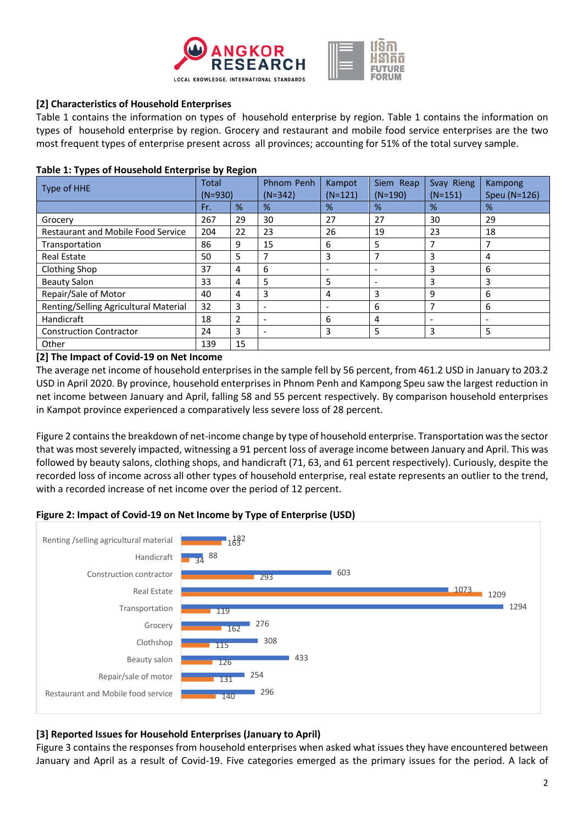



## **[2] Characteristics of Household Enterprises**

Table 1 contains the information on types of household enterprise by region. Table 1 contains the information on types of household enterprise by region. Grocery and restaurant and mobile food service enterprises are the two most frequent types of enterprise present across all provinces; accounting for 51% of the total survey sample.

#### **Table 1: Types of Household Enterprise by Region**

| Type of HHE                               | <b>Total</b><br>$(N=930)$ |    | Phnom Penh<br>$(N=342)$  | Kampot<br>$(N=121)$      | Siem Reap<br>$(N=190)$   | Svay Rieng<br>$(N=151)$ | <b>Kampong</b><br>Speu (N=126) |  |
|-------------------------------------------|---------------------------|----|--------------------------|--------------------------|--------------------------|-------------------------|--------------------------------|--|
|                                           | Fr.                       | %  | %                        | %                        | %                        | %                       | %                              |  |
| Grocery                                   | 267                       | 29 | 30                       | 27                       | 27                       | 30                      | 29                             |  |
| <b>Restaurant and Mobile Food Service</b> | 204                       | 22 | 23                       | 26                       | 19                       | 23                      | 18                             |  |
| Transportation                            | 86                        | 9  | 15                       | 6                        | 5                        | ┑                       | 7                              |  |
| <b>Real Estate</b>                        | 50                        | 5  | 7                        | 3                        | 7                        | 3                       | 4                              |  |
| <b>Clothing Shop</b>                      | 37                        | 4  | 6                        | $\overline{\phantom{a}}$ | $\overline{\phantom{a}}$ | 3                       | 6                              |  |
| <b>Beauty Salon</b>                       | 33                        | 4  | 5                        | 5                        | $\overline{\phantom{0}}$ | 3                       | 3                              |  |
| Repair/Sale of Motor                      | 40                        | 4  | 3                        | 4                        | 3                        | 9                       | 6                              |  |
| Renting/Selling Agricultural Material     | 32                        | 3  | $\overline{\phantom{a}}$ | $\overline{\phantom{a}}$ | 6                        | 7                       | 6                              |  |
| Handicraft                                | 18                        | 2  | -                        | 6                        | 4                        |                         | $\overline{\phantom{0}}$       |  |
| <b>Construction Contractor</b>            | 24                        | 3  |                          | 3                        | 5                        | 3                       | 5                              |  |
| Other                                     | 139                       | 15 |                          |                          |                          |                         |                                |  |

#### **[2] The Impact of Covid-19 on Net Income**

The average net income of household enterprises in the sample fell by 56 percent, from 461.2 USD in January to 203.2 USD in April 2020. By province, household enterprises in Phnom Penh and Kampong Speu saw the largest reduction in net income between January and April, falling 58 and 55 percent respectively. By comparison household enterprises in Kampot province experienced a comparatively less severe loss of 28 percent.

Figure 2 contains the breakdown of net-income change by type of household enterprise. Transportation was the sector that was most severely impacted, witnessing a 91 percent loss of average income between January and April. This was followed by beauty salons, clothing shops, and handicraft (71, 63, and 61 percent respectively). Curiously, despite the recorded loss of income across all other types of household enterprise, real estate represents an outlier to the trend, with a recorded increase of net income over the period of 12 percent.

#### **Figure 2: Impact of Covid-19 on Net Income by Type of Enterprise (USD)**



## **[3] Reported Issues for Household Enterprises (January to April)**

Figure 3 contains the responses from household enterprises when asked what issues they have encountered between January and April as a result of Covid-19. Five categories emerged as the primary issues for the period. A lack of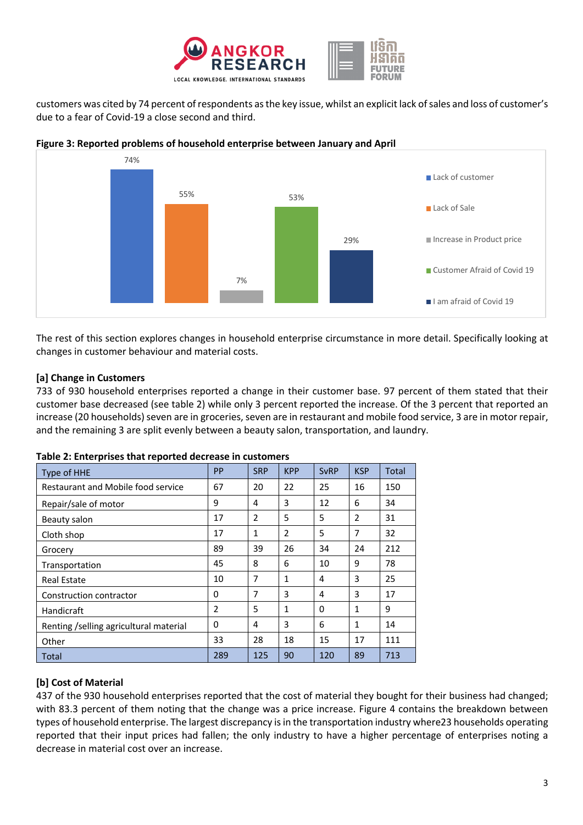

customers was cited by 74 percent of respondents as the key issue, whilst an explicit lack of sales and loss of customer's due to a fear of Covid-19 a close second and third.



## **Figure 3: Reported problems of household enterprise between January and April**

The rest of this section explores changes in household enterprise circumstance in more detail. Specifically looking at changes in customer behaviour and material costs.

## **[a] Change in Customers**

733 of 930 household enterprises reported a change in their customer base. 97 percent of them stated that their customer base decreased (see table 2) while only 3 percent reported the increase. Of the 3 percent that reported an increase (20 households) seven are in groceries, seven are in restaurant and mobile food service, 3 are in motor repair, and the remaining 3 are split evenly between a beauty salon, transportation, and laundry.

| Type of HHE                             | PP             | <b>SRP</b>   | <b>KPP</b>   | <b>SvRP</b> | <b>KSP</b>   | Total |
|-----------------------------------------|----------------|--------------|--------------|-------------|--------------|-------|
| Restaurant and Mobile food service      | 67             | 20           | 22           | 25          | 16           | 150   |
| Repair/sale of motor                    | 9              | 4            | 3            | 12          | 6            | 34    |
| Beauty salon                            | 17             | 2            | 5            | 5           | 2            | 31    |
| Cloth shop                              | 17             | $\mathbf{1}$ | 2            | 5           | 7            | 32    |
| Grocery                                 | 89             | 39           | 26           | 34          | 24           | 212   |
| Transportation                          | 45             | 8            | 6            | 10          | 9            | 78    |
| <b>Real Estate</b>                      | 10             | 7            | $\mathbf{1}$ | 4           | 3            | 25    |
| Construction contractor                 | $\Omega$       | 7            | 3            | 4           | 3            | 17    |
| Handicraft                              | $\overline{2}$ | 5            | $\mathbf{1}$ | 0           | $\mathbf{1}$ | 9     |
| Renting / selling agricultural material | 0              | 4            | 3            | 6           | 1            | 14    |
| Other                                   | 33             | 28           | 18           | 15          | 17           | 111   |
| Total                                   | 289            | 125          | 90           | 120         | 89           | 713   |

#### **Table 2: Enterprises that reported decrease in customers**

# **[b] Cost of Material**

437 of the 930 household enterprises reported that the cost of material they bought for their business had changed; with 83.3 percent of them noting that the change was a price increase. Figure 4 contains the breakdown between types of household enterprise. The largest discrepancy is in the transportation industry where23 households operating reported that their input prices had fallen; the only industry to have a higher percentage of enterprises noting a decrease in material cost over an increase.